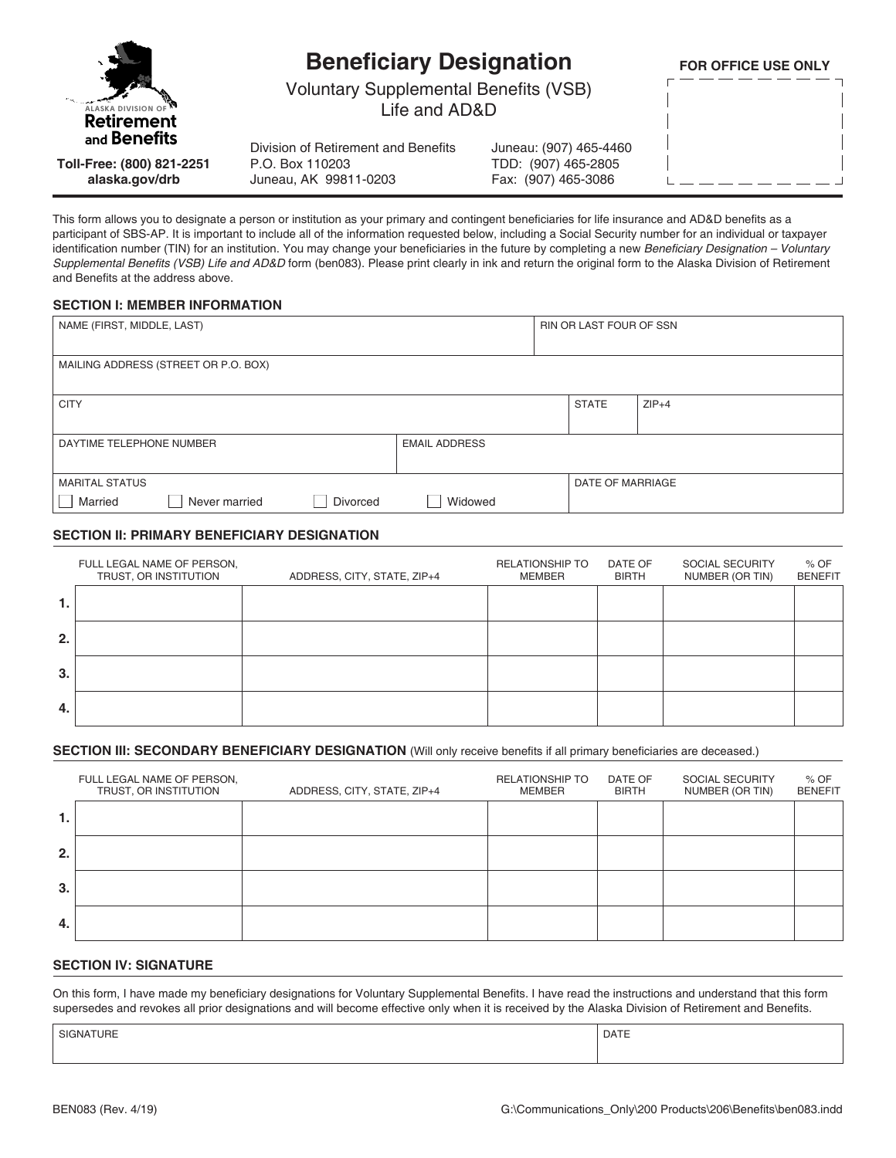

# **Beneficiary Designation**

**FOR OFFICE USE ONLY**

Voluntary Supplemental Benefits (VSB) Life and AD&D

**Toll-Free: (800) 821-2251 alaska.gov/drb**

Division of Retirement and Benefits P.O. Box 110203 Juneau, AK 99811-0203

Juneau: (907) 465-4460 TDD: (907) 465-2805 Fax: (907) 465-3086

This form allows you to designate a person or institution as your primary and contingent beneficiaries for life insurance and AD&D benefits as a participant of SBS-AP. It is important to include all of the information requested below, including a Social Security number for an individual or taxpayer identification number (TIN) for an institution. You may change your beneficiaries in the future by completing a new Beneficiary Designation - Voluntary Supplemental Benefits (VSB) Life and AD&D form (ben083). Please print clearly in ink and return the original form to the Alaska Division of Retirement and Benefits at the address above.

#### **SECTION I: MEMBER INFORMATION**

| NAME (FIRST, MIDDLE, LAST) |                         |                                |
|----------------------------|-------------------------|--------------------------------|
|                            |                         |                                |
|                            | <b>STATE</b>            | $ZIP+4$                        |
| <b>EMAIL ADDRESS</b>       |                         |                                |
|                            | <b>DATE OF MARRIAGE</b> |                                |
| Widowed                    |                         |                                |
|                            |                         | <b>RIN OR LAST FOUR OF SSN</b> |

#### **SECTION II: PRIMARY BENEFICIARY DESIGNATION**

|    | FULL LEGAL NAME OF PERSON,<br>TRUST, OR INSTITUTION | ADDRESS, CITY, STATE, ZIP+4 | <b>RELATIONSHIP TO</b><br>MEMBER | DATE OF<br><b>BIRTH</b> | SOCIAL SECURITY<br>NUMBER (OR TIN) | $%$ OF<br><b>BENEFIT</b> |
|----|-----------------------------------------------------|-----------------------------|----------------------------------|-------------------------|------------------------------------|--------------------------|
| 1. |                                                     |                             |                                  |                         |                                    |                          |
| 2. |                                                     |                             |                                  |                         |                                    |                          |
| 3. |                                                     |                             |                                  |                         |                                    |                          |
| 4. |                                                     |                             |                                  |                         |                                    |                          |

#### **SECTION III: SECONDARY BENEFICIARY DESIGNATION** (Will only receive benefits if all primary beneficiaries are deceased.)

|    | FULL LEGAL NAME OF PERSON,<br>TRUST, OR INSTITUTION | ADDRESS, CITY, STATE, ZIP+4 | <b>RELATIONSHIP TO</b><br>MEMBER | DATE OF<br><b>BIRTH</b> | SOCIAL SECURITY<br>NUMBER (OR TIN) | $%$ OF<br><b>BENEFIT</b> |
|----|-----------------------------------------------------|-----------------------------|----------------------------------|-------------------------|------------------------------------|--------------------------|
| 1. |                                                     |                             |                                  |                         |                                    |                          |
| 2. |                                                     |                             |                                  |                         |                                    |                          |
| 3. |                                                     |                             |                                  |                         |                                    |                          |
| 4. |                                                     |                             |                                  |                         |                                    |                          |

#### **SECTION IV: SIGNATURE**

On this form, I have made my beneficiary designations for Voluntary Supplemental Benefits. I have read the instructions and understand that this form supersedes and revokes all prior designations and will become effective only when it is received by the Alaska Division of Retirement and Benefits.

SIGNATURE PRESENTED IN A SERVICE OF SERVICE SIGNATURE PRESENTED IN A SERVICE OF SERVICE OF SERVICE OF SERVICE O